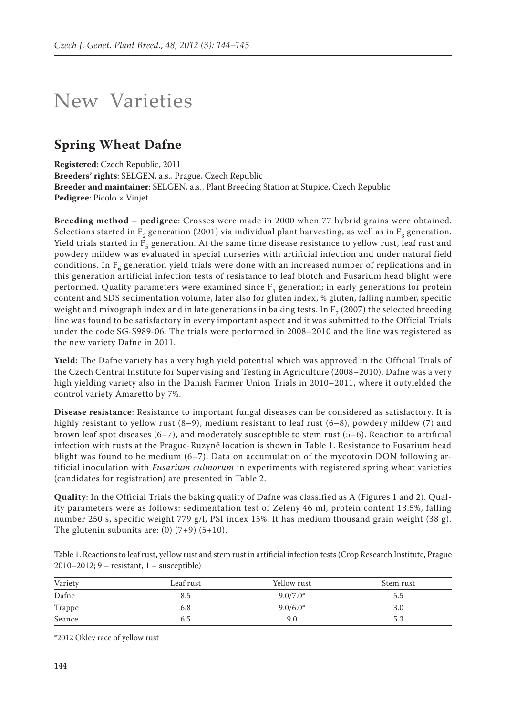## New Varieties

## **Spring Wheat Dafne**

**Registered**: Czech Republic, 2011 **Breeders' rights**: SELGEN, a.s., Prague, Czech Republic **Breeder and maintainer**: SELGEN, a.s., Plant Breeding Station at Stupice, Czech Republic **Pedigree**: Picolo × Vinjet

**Breeding method – pedigree**: Crosses were made in 2000 when 77 hybrid grains were obtained. Selections started in  $F_2$  generation (2001) via individual plant harvesting, as well as in  $F_3$  generation. Yield trials started in  $F_5$  generation. At the same time disease resistance to yellow rust, leaf rust and powdery mildew was evaluated in special nurseries with artificial infection and under natural field conditions. In  $F_6$  generation yield trials were done with an increased number of replications and in this generation artificial infection tests of resistance to leaf blotch and Fusarium head blight were performed. Quality parameters were examined since  $F_1$  generation; in early generations for protein content and SDS sedimentation volume, later also for gluten index, % gluten, falling number, specific weight and mixograph index and in late generations in baking tests. In  $F<sub>7</sub>$  (2007) the selected breeding line was found to be satisfactory in every important aspect and it was submitted to the Official Trials under the code SG-S989-06. The trials were performed in 2008–2010 and the line was registered as the new variety Dafne in 2011.

**Yield**: The Dafne variety has a very high yield potential which was approved in the Official Trials of the Czech Central Institute for Supervising and Testing in Agriculture (2008–2010). Dafne was a very high yielding variety also in the Danish Farmer Union Trials in 2010–2011, where it outyielded the control variety Amaretto by 7%.

**Disease resistance**: Resistance to important fungal diseases can be considered as satisfactory. It is highly resistant to yellow rust (8–9), medium resistant to leaf rust (6–8), powdery mildew (7) and brown leaf spot diseases (6–7), and moderately susceptible to stem rust (5–6). Reaction to artificial infection with rusts at the Prague-Ruzyně location is shown in Table 1. Resistance to Fusarium head blight was found to be medium (6–7). Data on accumulation of the mycotoxin DON following artificial inoculation with *Fusarium culmorum* in experiments with registered spring wheat varieties (candidates for registration) are presented in Table 2.

**Quality**: In the Official Trials the baking quality of Dafne was classified as A (Figures 1 and 2). Quality parameters were as follows: sedimentation test of Zeleny 46 ml, protein content 13.5%, falling number 250 s, specific weight 779 g/l, PSI index 15%. It has medium thousand grain weight (38 g). The glutenin subunits are:  $(0)$   $(7+9)$   $(5+10)$ .

Table 1. Reactions to leaf rust, yellow rust and stem rust in artificial infection tests (Crop Research Institute, Prague 2010–2012; 9 – resistant, 1 – susceptible)

| Variety<br>the control of the control of the | Leaf rust | Yellow rust | Stem rust |
|----------------------------------------------|-----------|-------------|-----------|
| Dafne                                        | 8.5       | $9.0/7.0*$  | 5.5       |
| Trappe                                       | 6.8       | $9.0/6.0*$  | 3.0       |
| Seance                                       | 6.5       | 9.0         | 5.3       |

\*2012 Okley race of yellow rust